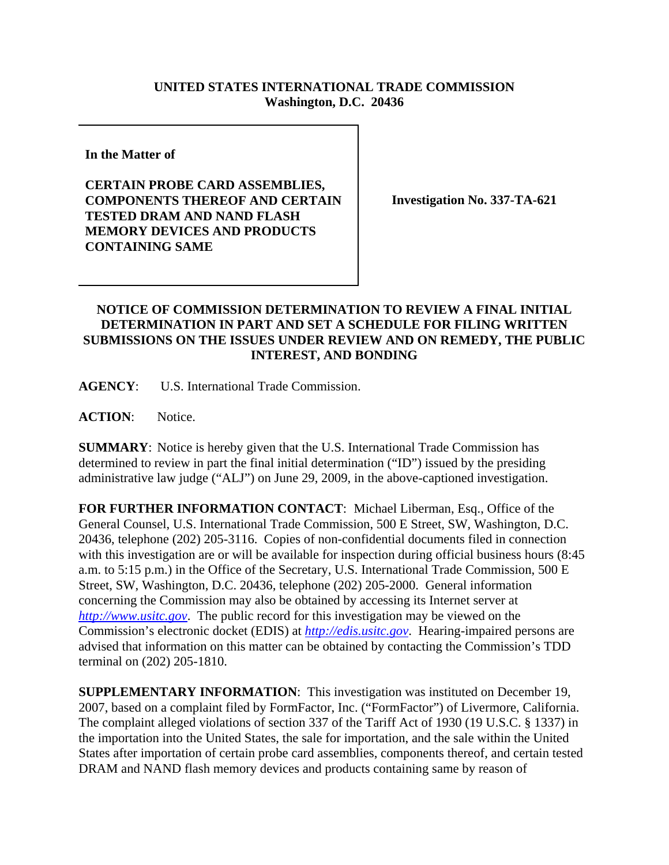## **UNITED STATES INTERNATIONAL TRADE COMMISSION Washington, D.C. 20436**

**In the Matter of** 

**CERTAIN PROBE CARD ASSEMBLIES, COMPONENTS THEREOF AND CERTAIN TESTED DRAM AND NAND FLASH MEMORY DEVICES AND PRODUCTS CONTAINING SAME**

**Investigation No. 337-TA-621**

## **NOTICE OF COMMISSION DETERMINATION TO REVIEW A FINAL INITIAL DETERMINATION IN PART AND SET A SCHEDULE FOR FILING WRITTEN SUBMISSIONS ON THE ISSUES UNDER REVIEW AND ON REMEDY, THE PUBLIC INTEREST, AND BONDING**

**AGENCY**: U.S. International Trade Commission.

**ACTION**: Notice.

**SUMMARY**: Notice is hereby given that the U.S. International Trade Commission has determined to review in part the final initial determination ("ID") issued by the presiding administrative law judge ("ALJ") on June 29, 2009, in the above-captioned investigation.

**FOR FURTHER INFORMATION CONTACT**: Michael Liberman, Esq., Office of the General Counsel, U.S. International Trade Commission, 500 E Street, SW, Washington, D.C. 20436, telephone (202) 205-3116. Copies of non-confidential documents filed in connection with this investigation are or will be available for inspection during official business hours (8:45 a.m. to 5:15 p.m.) in the Office of the Secretary, U.S. International Trade Commission, 500 E Street, SW, Washington, D.C. 20436, telephone (202) 205-2000. General information concerning the Commission may also be obtained by accessing its Internet server at *http://www.usitc.gov*. The public record for this investigation may be viewed on the Commission's electronic docket (EDIS) at *http://edis.usitc.gov*. Hearing-impaired persons are advised that information on this matter can be obtained by contacting the Commission's TDD terminal on (202) 205-1810.

**SUPPLEMENTARY INFORMATION**: This investigation was instituted on December 19, 2007, based on a complaint filed by FormFactor, Inc. ("FormFactor") of Livermore, California. The complaint alleged violations of section 337 of the Tariff Act of 1930 (19 U.S.C. § 1337) in the importation into the United States, the sale for importation, and the sale within the United States after importation of certain probe card assemblies, components thereof, and certain tested DRAM and NAND flash memory devices and products containing same by reason of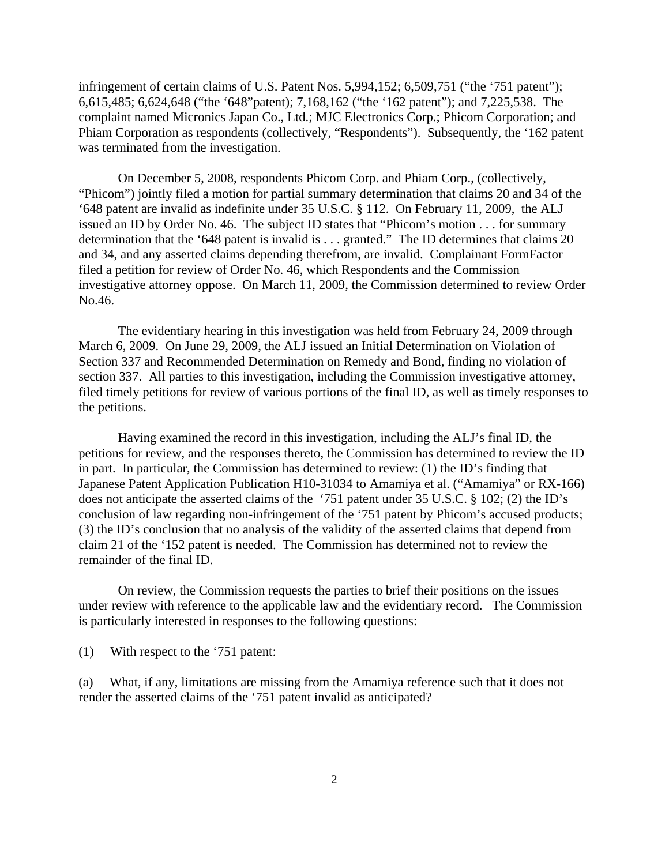infringement of certain claims of U.S. Patent Nos. 5,994,152; 6,509,751 ("the '751 patent"); 6,615,485; 6,624,648 ("the '648"patent); 7,168,162 ("the '162 patent"); and 7,225,538. The complaint named Micronics Japan Co., Ltd.; MJC Electronics Corp.; Phicom Corporation; and Phiam Corporation as respondents (collectively, "Respondents"). Subsequently, the '162 patent was terminated from the investigation.

On December 5, 2008, respondents Phicom Corp. and Phiam Corp., (collectively, "Phicom") jointly filed a motion for partial summary determination that claims 20 and 34 of the '648 patent are invalid as indefinite under 35 U.S.C. § 112. On February 11, 2009, the ALJ issued an ID by Order No. 46. The subject ID states that "Phicom's motion . . . for summary determination that the '648 patent is invalid is . . . granted." The ID determines that claims 20 and 34, and any asserted claims depending therefrom, are invalid. Complainant FormFactor filed a petition for review of Order No. 46, which Respondents and the Commission investigative attorney oppose. On March 11, 2009, the Commission determined to review Order No.46.

The evidentiary hearing in this investigation was held from February 24, 2009 through March 6, 2009. On June 29, 2009, the ALJ issued an Initial Determination on Violation of Section 337 and Recommended Determination on Remedy and Bond, finding no violation of section 337. All parties to this investigation, including the Commission investigative attorney, filed timely petitions for review of various portions of the final ID, as well as timely responses to the petitions.

Having examined the record in this investigation, including the ALJ's final ID, the petitions for review, and the responses thereto, the Commission has determined to review the ID in part. In particular, the Commission has determined to review: (1) the ID's finding that Japanese Patent Application Publication H10-31034 to Amamiya et al. ("Amamiya" or RX-166) does not anticipate the asserted claims of the '751 patent under 35 U.S.C. § 102; (2) the ID's conclusion of law regarding non-infringement of the '751 patent by Phicom's accused products; (3) the ID's conclusion that no analysis of the validity of the asserted claims that depend from claim 21 of the '152 patent is needed. The Commission has determined not to review the remainder of the final ID.

 On review, the Commission requests the parties to brief their positions on the issues under review with reference to the applicable law and the evidentiary record. The Commission is particularly interested in responses to the following questions:

(1) With respect to the '751 patent:

(a) What, if any, limitations are missing from the Amamiya reference such that it does not render the asserted claims of the '751 patent invalid as anticipated?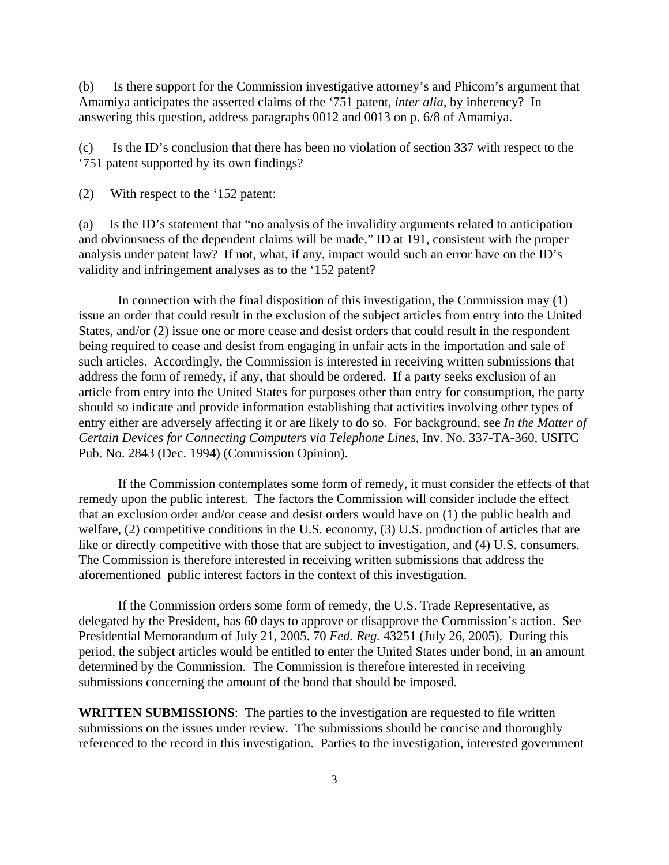(b) Is there support for the Commission investigative attorney's and Phicom's argument that Amamiya anticipates the asserted claims of the '751 patent, *inter alia*, by inherency? In answering this question, address paragraphs 0012 and 0013 on p. 6/8 of Amamiya.

(c) Is the ID's conclusion that there has been no violation of section 337 with respect to the '751 patent supported by its own findings?

(2) With respect to the '152 patent:

(a) Is the ID's statement that "no analysis of the invalidity arguments related to anticipation and obviousness of the dependent claims will be made," ID at 191, consistent with the proper analysis under patent law? If not, what, if any, impact would such an error have on the ID's validity and infringement analyses as to the '152 patent?

In connection with the final disposition of this investigation, the Commission may (1) issue an order that could result in the exclusion of the subject articles from entry into the United States, and/or (2) issue one or more cease and desist orders that could result in the respondent being required to cease and desist from engaging in unfair acts in the importation and sale of such articles. Accordingly, the Commission is interested in receiving written submissions that address the form of remedy, if any, that should be ordered. If a party seeks exclusion of an article from entry into the United States for purposes other than entry for consumption, the party should so indicate and provide information establishing that activities involving other types of entry either are adversely affecting it or are likely to do so. For background, see *In the Matter of Certain Devices for Connecting Computers via Telephone Lines*, Inv. No. 337-TA-360, USITC Pub. No. 2843 (Dec. 1994) (Commission Opinion).

If the Commission contemplates some form of remedy, it must consider the effects of that remedy upon the public interest. The factors the Commission will consider include the effect that an exclusion order and/or cease and desist orders would have on (1) the public health and welfare, (2) competitive conditions in the U.S. economy, (3) U.S. production of articles that are like or directly competitive with those that are subject to investigation, and (4) U.S. consumers. The Commission is therefore interested in receiving written submissions that address the aforementioned public interest factors in the context of this investigation.

If the Commission orders some form of remedy, the U.S. Trade Representative, as delegated by the President, has 60 days to approve or disapprove the Commission's action. See Presidential Memorandum of July 21, 2005. 70 *Fed. Reg.* 43251 (July 26, 2005). During this period, the subject articles would be entitled to enter the United States under bond, in an amount determined by the Commission. The Commission is therefore interested in receiving submissions concerning the amount of the bond that should be imposed.

**WRITTEN SUBMISSIONS**: The parties to the investigation are requested to file written submissions on the issues under review. The submissions should be concise and thoroughly referenced to the record in this investigation. Parties to the investigation, interested government